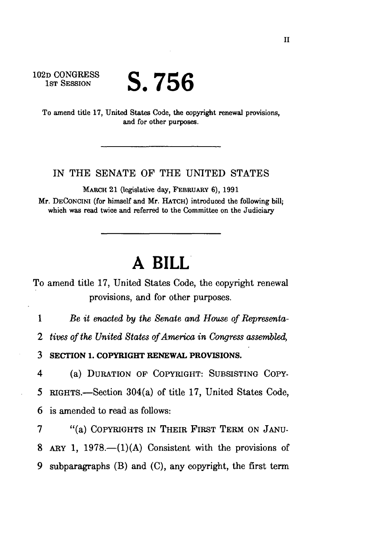102D CONGRESS<br>1st Session

## S.756

To amend title 17, United States Code, the copyright renewal provisions, and for other purposes.

## IN THE SENATE OF THE UNITED STATES

MARCH 21 (legislative day, FEBRUARY 6), 1991 Mr. DECONCINI (for himself and Mr. HATCH) introduced the following bill; which was read twice and referred to the Committee on the Judiciary

## **A BILL**

To amend title 17, United States Code, the copyright renewal provisions, and for other purposes.

1 *Be it enacted by the Senate and House of Representa-*

*2 tives of the United States of America in Congress assembled,* 

3 SECTION 1. COPYRIGHT RENEWAL PROVISIONS.

4 (a) DURATION OP COPYRIGHT: SUBSISTING COPY-5 RIGHTS.—Section 304(a) of title 17, United States Code, 6 is amended to read as follows:

7 "(a) COPYRIGHTS IN THEIR FIRST TERM ON JANU-8 ARY 1, 1978.— $(1)(A)$  Consistent with the provisions of 9 subparagraphs (B) and (C), any copyright, the first term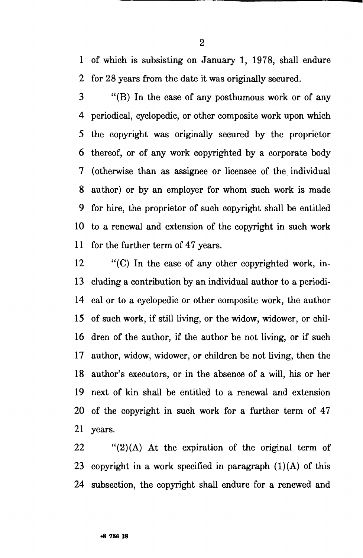1 of which is subsisting on January 1, 1978, shall endure 2 for 28 years from the date it was originally secured.

3 "(B) In the case of any posthumous work or of any 4 periodical, cyclopedic, or other composite work upon which 5 the copyright was originally secured by the proprietor 6 thereof, or of any work copyrighted by a corporate body 7 (otherwise than as assignee or licensee of the individual 8 author) or by an employer for whom such work is made 9 for hire, the proprietor of such copyright shall be entitled 10 to a renewal and extension of the copyright in such work 11 for the further term of 47 years.

12 "(C) In the case of any other copyrighted work, in-13 eluding a contribution by an individual author to a periodi-14 cal or to a cyclopedic or other composite work, the author 15 of such work, if still living, or the widow, widower, or chil-16 dren of the author, if the author be not living, or if such 17 author, widow, widower, or children be not living, then the 18 author's executors, or in the absence of a will, his or her 19 next of kin shall be entitled to a renewal and extension 20 of the copyright in such work for a further term of 47 21 years.

 $22$  "(2)(A) At the expiration of the original term of 23 copyright in a work specified in paragraph  $(1)(A)$  of this 24 subsection, the copyright shall endure for a renewed and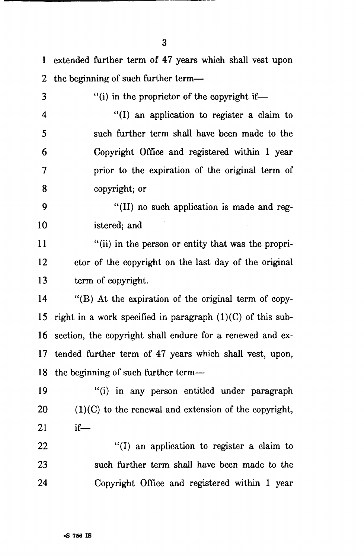1 extended further term of 47 years which shall vest upon 2 the beginning of such further term—

3 "(i) in the proprietor of the copyright if-4 "(I) an application to register a claim to 5 such further term shall have been made to the 6 Copyright Office and registered within 1 year 7 prior to the expiration of the original term of 8 copyright; or

9 "(II) no such application is made and reg-10 istered; and

11 "(ii) in the person or entity that was the propri-12 etor of the copyright on the last day of the original 13 term of copyright.

14 "(B) At the expiration of the original term of copy-15 right in a work specified in paragraph  $(1)(C)$  of this sub-16 section, the copyright shall endure for a renewed and ex-17 tended further term of 47 years which shall vest, upon, 18 the beginning of such further term—

19 "(i) in any person entitled under paragraph 20  $(1)(C)$  to the renewal and extension of the copyright, 21 if—

22 "(I) an application to register a claim to 23 such further term shall have been made to the 24 Copyright Office and registered within 1 year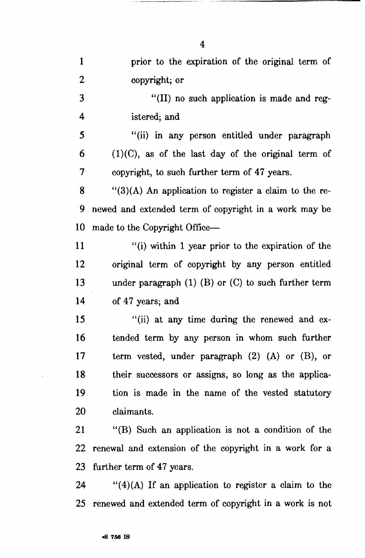| $\mathbf{1}$   | prior to the expiration of the original term of                              |
|----------------|------------------------------------------------------------------------------|
| $\overline{2}$ | copyright; or                                                                |
| 3              | "(II) no such application is made and reg-                                   |
| 4              | istered; and                                                                 |
| 5              | "(ii) in any person entitled under paragraph                                 |
| 6              | $(1)(C)$ , as of the last day of the original term of                        |
| 7              | copyright, to such further term of 47 years.                                 |
| 8              | $\lq(3)(A)$ An application to register a claim to the re-                    |
| 9              | newed and extended term of copyright in a work may be                        |
| 10             | made to the Copyright Office-                                                |
| 11             | "(i) within 1 year prior to the expiration of the                            |
| 12             | original term of copyright by any person entitled                            |
| 13             | under paragraph $(1)$ $(B)$ or $(C)$ to such further term                    |
| 14             | of 47 years; and                                                             |
| 15             | "(ii) at any time during the renewed and ex-                                 |
| 16             | tended term by any person in whom such further                               |
| 17             | term vested, under paragraph $(2)$ $(A)$ or $(B)$ , or                       |
| 18             | their successors or assigns, so long as the applica-                         |
| 19             | tion is made in the name of the vested statutory                             |
| <b>20</b>      | claimants.                                                                   |
| 21             | "(B) Such an application is not a condition of the                           |
| 22             | renewal and extension of the copyright in a work for a                       |
| 23             | further term of 47 years.                                                    |
| $\mathcal{D}$  | $\frac{((1) + (1) + (1))}{(1)}$ if an application to register a claim to the |

24 " $(4)(A)$  If an application to register a claim to the 25 renewed and extended term of copyright in a work is not

4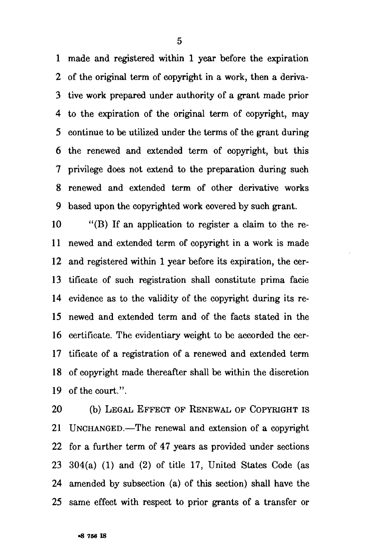1 made and registered within 1 year before the expiration 2 of the original term of copyright in a work, then a deriva-3 tive work prepared under authority of a grant made prior 4 to the expiration of the original term of copyright, may 5 continue to be utilized under the terms of the grant during 6 the renewed and extended term of copyright, but this 7 privilege does not extend to the preparation during such 8 renewed and extended term of other derivative works 9 based upon the copyrighted work covered by such grant.

10 "(B) If an application to register a claim to the re-11 newed and extended term of copyright in a work is made 12 and registered within 1 year before its expiration, the cer-13 tificate of such registration shall constitute prima facie 14 evidence as to the validity of the copyright during its re-15 newed and extended term and of the facts stated in the 16 certificate. The evidentiary weight to be accorded the cer-17 tificate of a registration of a renewed and extended term 18 of copyright made thereafter shall be within the discretion 19 of the court.".

20 (b) LEGAL EFFECT OF RENEWAL OF COPYRIGHT IS 21 UNCHANGED.—The renewal and extension of a copyright 22 for a further term of 47 years as provided under sections 23 304(a) (1) and (2) of title 17, United States Code (as 24 amended by subsection (a) of this section) shall have the 25 same effect with respect to prior grants of a transfer or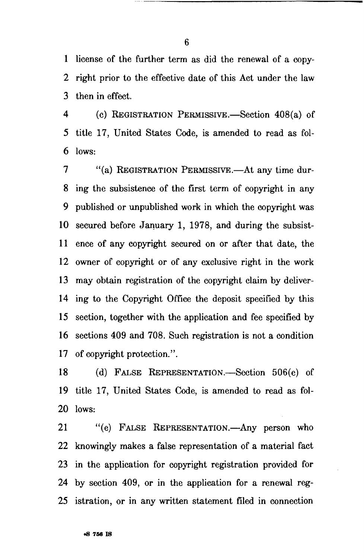1 license of the farther term as did the renewal of a copy-2 right prior to the effective date of this Act under the law 3 then in effect.

4 (c) REGISTRATION PERMISSIVE.—Section 408(a) of 5 title 17, United States Code, is amended to read as fol-6 lows:

7 "(a) REGISTRATION PERMISSIVE.—At any time dur-8 ing the subsistence of the first term of copyright in any 9 published or unpublished work in which the copyright was 10 secured before January 1, 1978, and during the subsist-11 ence of any copyright secured on or after that date, the 12 owner of copyright or of any exclusive right in the work 13 may obtain registration of the copyright claim by deliver-14 ing to the Copyright Office the deposit specified by this 15 section, together with the application and fee specified by 16 sections 409 and 708. Such registration is not a condition 17 of copyright protection.''.

18 (d) FALSE REPRESENTATION.—Section 506(e) of 19 title 17, United States Code, is amended to read as fol-20 lows:

21 "(e) FALSE REPRESENTATION.—Any person who 22 knowingly makes a false representation of a material fact 23 in the application for copyright registration provided for 24 by section 409, or in the application for a renewal reg-25 istration, or in any written statement filed in connection

6